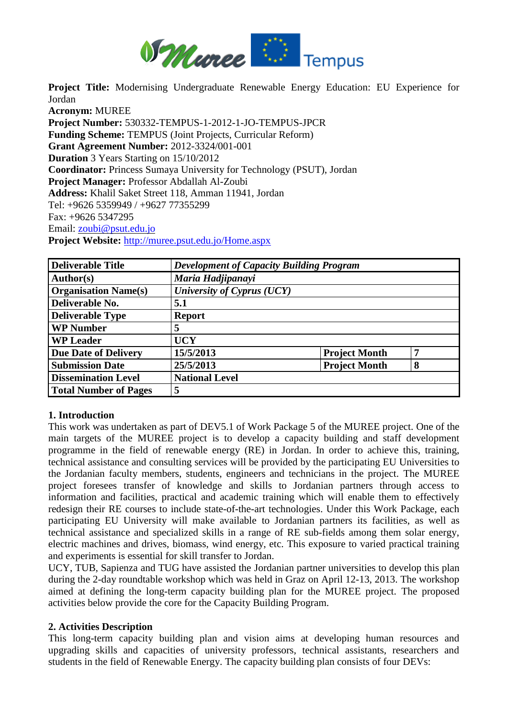

**Project Title:** Modernising Undergraduate Renewable Energy Education: EU Experience for Jordan

**Acronym:** MUREE **Project Number:** 530332-TEMPUS-1-2012-1-JO-TEMPUS-JPCR **Funding Scheme:** TEMPUS (Joint Projects, Curricular Reform) **Grant Agreement Number:** 2012-3324/001-001 **Duration** 3 Years Starting on 15/10/2012 **Coordinator:** Princess Sumaya University for Technology (PSUT), Jordan **Project Manager:** Professor Abdallah Al-Zoubi **Address:** Khalil Saket Street 118, Amman 11941, Jordan Tel: +9626 5359949 / +9627 77355299 Fax: +9626 5347295 Email: [zoubi@psut.edu.jo](mailto:zoubi@psut.edu.jo) **Project Website:** <http://muree.psut.edu.jo/Home.aspx>

| <b>Deliverable Title</b>     | <b>Development of Capacity Building Program</b> |                      |   |
|------------------------------|-------------------------------------------------|----------------------|---|
| Author(s)                    | Maria Hadjipanayi                               |                      |   |
| <b>Organisation Name(s)</b>  | University of Cyprus (UCY)                      |                      |   |
| Deliverable No.              | 5.1                                             |                      |   |
| <b>Deliverable Type</b>      | <b>Report</b>                                   |                      |   |
| <b>WP Number</b>             | 5                                               |                      |   |
| <b>WP Leader</b>             | <b>UCY</b>                                      |                      |   |
| <b>Due Date of Delivery</b>  | 15/5/2013                                       | <b>Project Month</b> | 7 |
| <b>Submission Date</b>       | 25/5/2013                                       | <b>Project Month</b> | 8 |
| <b>Dissemination Level</b>   | <b>National Level</b>                           |                      |   |
| <b>Total Number of Pages</b> | 5                                               |                      |   |

## **1. Introduction**

This work was undertaken as part of DEV5.1 of Work Package 5 of the MUREE project. One of the main targets of the MUREE project is to develop a capacity building and staff development programme in the field of renewable energy (RE) in Jordan. In order to achieve this, training, technical assistance and consulting services will be provided by the participating EU Universities to the Jordanian faculty members, students, engineers and technicians in the project. The MUREE project foresees transfer of knowledge and skills to Jordanian partners through access to information and facilities, practical and academic training which will enable them to effectively redesign their RE courses to include state-of-the-art technologies. Under this Work Package, each participating EU University will make available to Jordanian partners its facilities, as well as technical assistance and specialized skills in a range of RE sub-fields among them solar energy, electric machines and drives, biomass, wind energy, etc. This exposure to varied practical training and experiments is essential for skill transfer to Jordan.

UCY, TUB, Sapienza and TUG have assisted the Jordanian partner universities to develop this plan during the 2-day roundtable workshop which was held in Graz on April 12-13, 2013. The workshop aimed at defining the long-term capacity building plan for the MUREE project. The proposed activities below provide the core for the Capacity Building Program.

#### **2. Activities Description**

This long-term capacity building plan and vision aims at developing human resources and upgrading skills and capacities of university professors, technical assistants, researchers and students in the field of Renewable Energy. The capacity building plan consists of four DEVs: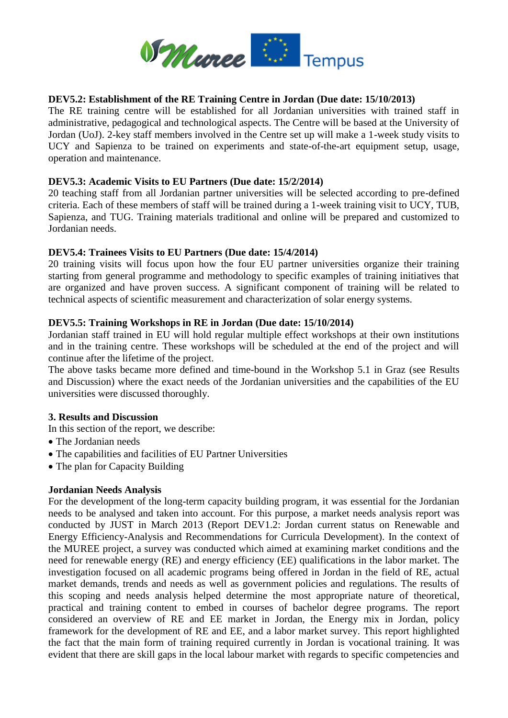

## **DEV5.2: Establishment of the RE Training Centre in Jordan (Due date: 15/10/2013)**

The RE training centre will be established for all Jordanian universities with trained staff in administrative, pedagogical and technological aspects. The Centre will be based at the University of Jordan (UoJ). 2-key staff members involved in the Centre set up will make a 1-week study visits to UCY and Sapienza to be trained on experiments and state-of-the-art equipment setup, usage, operation and maintenance.

## **DEV5.3: Academic Visits to EU Partners (Due date: 15/2/2014)**

20 teaching staff from all Jordanian partner universities will be selected according to pre-defined criteria. Each of these members of staff will be trained during a 1-week training visit to UCY, TUB, Sapienza, and TUG. Training materials traditional and online will be prepared and customized to Jordanian needs.

## **DEV5.4: Trainees Visits to EU Partners (Due date: 15/4/2014)**

20 training visits will focus upon how the four EU partner universities organize their training starting from general programme and methodology to specific examples of training initiatives that are organized and have proven success. A significant component of training will be related to technical aspects of scientific measurement and characterization of solar energy systems.

#### **DEV5.5: Training Workshops in RE in Jordan (Due date: 15/10/2014)**

Jordanian staff trained in EU will hold regular multiple effect workshops at their own institutions and in the training centre. These workshops will be scheduled at the end of the project and will continue after the lifetime of the project.

The above tasks became more defined and time-bound in the Workshop 5.1 in Graz (see Results and Discussion) where the exact needs of the Jordanian universities and the capabilities of the EU universities were discussed thoroughly.

#### **3. Results and Discussion**

In this section of the report, we describe:

- The Jordanian needs
- The capabilities and facilities of EU Partner Universities
- The plan for Capacity Building

## **Jordanian Needs Analysis**

For the development of the long-term capacity building program, it was essential for the Jordanian needs to be analysed and taken into account. For this purpose, a market needs analysis report was conducted by JUST in March 2013 (Report DEV1.2: Jordan current status on Renewable and Energy Efficiency-Analysis and Recommendations for Curricula Development). In the context of the MUREE project, a survey was conducted which aimed at examining market conditions and the need for renewable energy (RE) and energy efficiency (EE) qualifications in the labor market. The investigation focused on all academic programs being offered in Jordan in the field of RE, actual market demands, trends and needs as well as government policies and regulations. The results of this scoping and needs analysis helped determine the most appropriate nature of theoretical, practical and training content to embed in courses of bachelor degree programs. The report considered an overview of RE and EE market in Jordan, the Energy mix in Jordan, policy framework for the development of RE and EE, and a labor market survey. This report highlighted the fact that the main form of training required currently in Jordan is vocational training. It was evident that there are skill gaps in the local labour market with regards to specific competencies and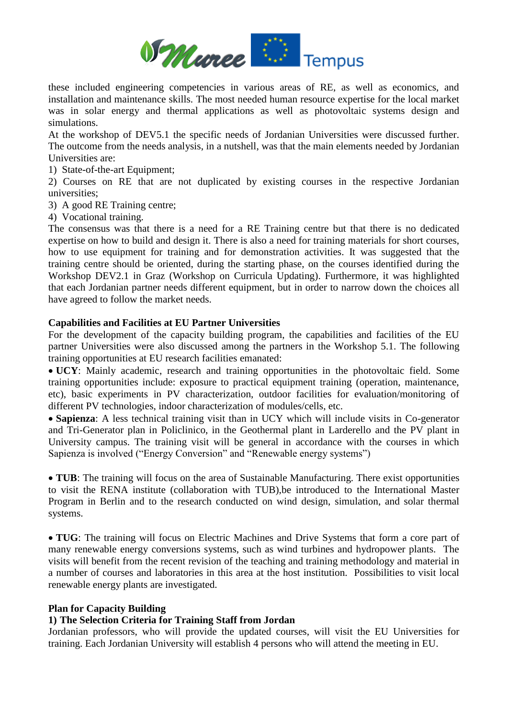

these included engineering competencies in various areas of RE, as well as economics, and installation and maintenance skills. The most needed human resource expertise for the local market was in solar energy and thermal applications as well as photovoltaic systems design and simulations.

At the workshop of DEV5.1 the specific needs of Jordanian Universities were discussed further. The outcome from the needs analysis, in a nutshell, was that the main elements needed by Jordanian Universities are:

1) State-of-the-art Equipment;

2) Courses on RE that are not duplicated by existing courses in the respective Jordanian universities;

3) A good RE Training centre;

4) Vocational training.

The consensus was that there is a need for a RE Training centre but that there is no dedicated expertise on how to build and design it. There is also a need for training materials for short courses, how to use equipment for training and for demonstration activities. It was suggested that the training centre should be oriented, during the starting phase, on the courses identified during the Workshop DEV2.1 in Graz (Workshop on Curricula Updating). Furthermore, it was highlighted that each Jordanian partner needs different equipment, but in order to narrow down the choices all have agreed to follow the market needs.

## **Capabilities and Facilities at EU Partner Universities**

For the development of the capacity building program, the capabilities and facilities of the EU partner Universities were also discussed among the partners in the Workshop 5.1. The following training opportunities at EU research facilities emanated:

 **UCY**: Mainly academic, research and training opportunities in the photovoltaic field. Some training opportunities include: exposure to practical equipment training (operation, maintenance, etc), basic experiments in PV characterization, outdoor facilities for evaluation/monitoring of different PV technologies, indoor characterization of modules/cells, etc.

 **Sapienza**: A less technical training visit than in UCY which will include visits in Co-generator and Tri-Generator plan in Policlinico, in the Geothermal plant in Larderello and the PV plant in University campus. The training visit will be general in accordance with the courses in which Sapienza is involved ("Energy Conversion" and "Renewable energy systems")

 **TUB**: The training will focus on the area of Sustainable Manufacturing. There exist opportunities to visit the RENA institute (collaboration with TUB),be introduced to the International Master Program in Berlin and to the research conducted on wind design, simulation, and solar thermal systems.

 **TUG**: The training will focus on Electric Machines and Drive Systems that form a core part of many renewable energy conversions systems, such as wind turbines and hydropower plants. The visits will benefit from the recent revision of the teaching and training methodology and material in a number of courses and laboratories in this area at the host institution. Possibilities to visit local renewable energy plants are investigated.

#### **Plan for Capacity Building**

## **1) The Selection Criteria for Training Staff from Jordan**

Jordanian professors, who will provide the updated courses, will visit the EU Universities for training. Each Jordanian University will establish 4 persons who will attend the meeting in EU.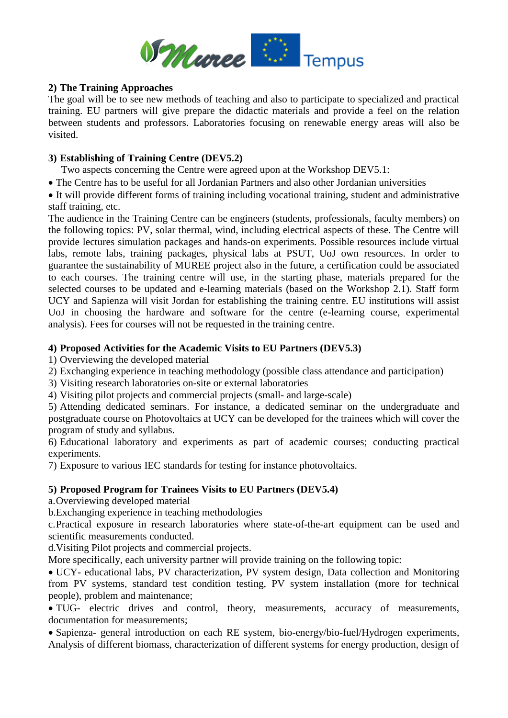

## **2) The Training Approaches**

The goal will be to see new methods of teaching and also to participate to specialized and practical training. EU partners will give prepare the didactic materials and provide a feel on the relation between students and professors. Laboratories focusing on renewable energy areas will also be visited.

## **3) Establishing of Training Centre (DEV5.2)**

Two aspects concerning the Centre were agreed upon at the Workshop DEV5.1:

The Centre has to be useful for all Jordanian Partners and also other Jordanian universities

 It will provide different forms of training including vocational training, student and administrative staff training, etc.

The audience in the Training Centre can be engineers (students, professionals, faculty members) on the following topics: PV, solar thermal, wind, including electrical aspects of these. The Centre will provide lectures simulation packages and hands-on experiments. Possible resources include virtual labs, remote labs, training packages, physical labs at PSUT, UoJ own resources. In order to guarantee the sustainability of MUREE project also in the future, a certification could be associated to each courses. The training centre will use, in the starting phase, materials prepared for the selected courses to be updated and e-learning materials (based on the Workshop 2.1). Staff form UCY and Sapienza will visit Jordan for establishing the training centre. EU institutions will assist UoJ in choosing the hardware and software for the centre (e-learning course, experimental analysis). Fees for courses will not be requested in the training centre.

## **4) Proposed Activities for the Academic Visits to EU Partners (DEV5.3)**

1) Overviewing the developed material

- 2) Exchanging experience in teaching methodology (possible class attendance and participation)
- 3) Visiting research laboratories on-site or external laboratories
- 4) Visiting pilot projects and commercial projects (small- and large-scale)

5) Attending dedicated seminars. For instance, a dedicated seminar on the undergraduate and postgraduate course on Photovoltaics at UCY can be developed for the trainees which will cover the program of study and syllabus.

6) Educational laboratory and experiments as part of academic courses; conducting practical experiments.

7) Exposure to various IEC standards for testing for instance photovoltaics.

# **5) Proposed Program for Trainees Visits to EU Partners (DEV5.4)**

a.Overviewing developed material

b.Exchanging experience in teaching methodologies

c.Practical exposure in research laboratories where state-of-the-art equipment can be used and scientific measurements conducted.

d.Visiting Pilot projects and commercial projects.

More specifically, each university partner will provide training on the following topic:

 UCY- educational labs, PV characterization, PV system design, Data collection and Monitoring from PV systems, standard test condition testing, PV system installation (more for technical people), problem and maintenance;

 TUG- electric drives and control, theory, measurements, accuracy of measurements, documentation for measurements;

 Sapienza- general introduction on each RE system, bio-energy/bio-fuel/Hydrogen experiments, Analysis of different biomass, characterization of different systems for energy production, design of